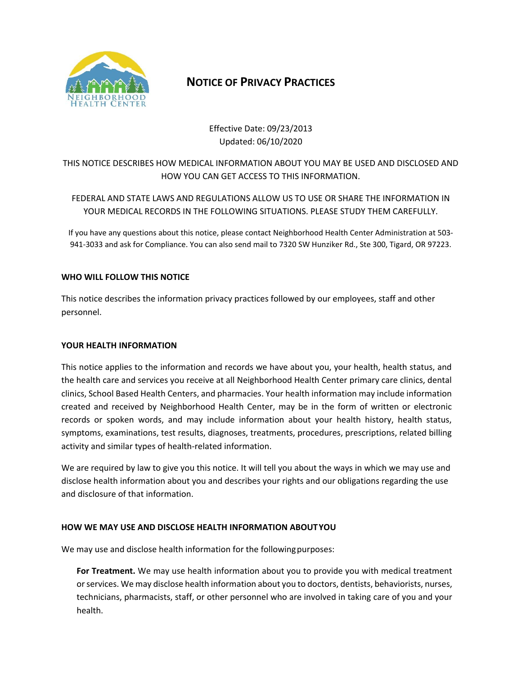

## **NOTICE OF PRIVACY PRACTICES**

Effective Date: 09/23/2013 Updated: 06/10/2020

## THIS NOTICE DESCRIBES HOW MEDICAL INFORMATION ABOUT YOU MAY BE USED AND DISCLOSED AND HOW YOU CAN GET ACCESS TO THIS INFORMATION.

FEDERAL AND STATE LAWS AND REGULATIONS ALLOW US TO USE OR SHARE THE INFORMATION IN YOUR MEDICAL RECORDS IN THE FOLLOWING SITUATIONS. PLEASE STUDY THEM CAREFULLY.

If you have any questions about this notice, please contact Neighborhood Health Center Administration at 503‐ 941‐3033 and ask for Compliance. You can also send mail to 7320 SW Hunziker Rd., Ste 300, Tigard, OR 97223.

#### **WHO WILL FOLLOW THIS NOTICE**

This notice describes the information privacy practices followed by our employees, staff and other personnel.

#### **YOUR HEALTH INFORMATION**

This notice applies to the information and records we have about you, your health, health status, and the health care and services you receive at all Neighborhood Health Center primary care clinics, dental clinics, School Based Health Centers, and pharmacies. Your health information may include information created and received by Neighborhood Health Center, may be in the form of written or electronic records or spoken words, and may include information about your health history, health status, symptoms, examinations, test results, diagnoses, treatments, procedures, prescriptions, related billing activity and similar types of health‐related information.

We are required by law to give you this notice. It will tell you about the ways in which we may use and disclose health information about you and describes your rights and our obligations regarding the use and disclosure of that information.

### **HOW WE MAY USE AND DISCLOSE HEALTH INFORMATION ABOUT YOU**

We may use and disclose health information for the following purposes:

**For Treatment.** We may use health information about you to provide you with medical treatment or services. We may disclose health information about you to doctors, dentists, behaviorists, nurses, technicians, pharmacists, staff, or other personnel who are involved in taking care of you and your health.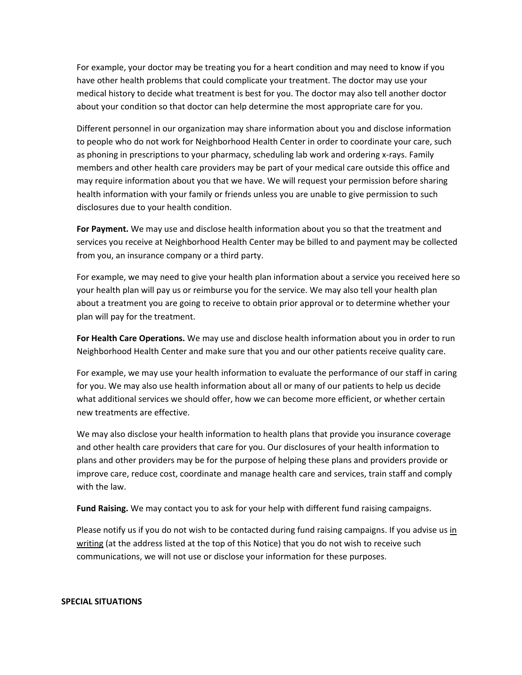For example, your doctor may be treating you for a heart condition and may need to know if you have other health problems that could complicate your treatment. The doctor may use your medical history to decide what treatment is best for you. The doctor may also tell another doctor about your condition so that doctor can help determine the most appropriate care for you.

Different personnel in our organization may share information about you and disclose information to people who do not work for Neighborhood Health Center in order to coordinate your care, such as phoning in prescriptions to your pharmacy, scheduling lab work and ordering x-rays. Family members and other health care providers may be part of your medical care outside this office and may require information about you that we have. We will request your permission before sharing health information with your family or friends unless you are unable to give permission to such disclosures due to your health condition.

**For Payment.** We may use and disclose health information about you so that the treatment and services you receive at Neighborhood Health Center may be billed to and payment may be collected from you, an insurance company or a third party.

For example, we may need to give your health plan information about a service you received here so your health plan will pay us or reimburse you for the service. We may also tell your health plan about a treatment you are going to receive to obtain prior approval or to determine whether your plan will pay for the treatment.

**For Health Care Operations.** We may use and disclose health information about you in order to run Neighborhood Health Center and make sure that you and our other patients receive quality care.

For example, we may use your health information to evaluate the performance of our staff in caring for you. We may also use health information about all or many of our patients to help us decide what additional services we should offer, how we can become more efficient, or whether certain new treatments are effective.

We may also disclose your health information to health plans that provide you insurance coverage and other health care providers that care for you. Our disclosures of your health information to plans and other providers may be for the purpose of helping these plans and providers provide or improve care, reduce cost, coordinate and manage health care and services, train staff and comply with the law.

**Fund Raising.** We may contact you to ask for your help with different fund raising campaigns.

Please notify us if you do not wish to be contacted during fund raising campaigns. If you advise us in writing (at the address listed at the top of this Notice) that you do not wish to receive such communications, we will not use or disclose your information for these purposes.

#### **SPECIAL SITUATIONS**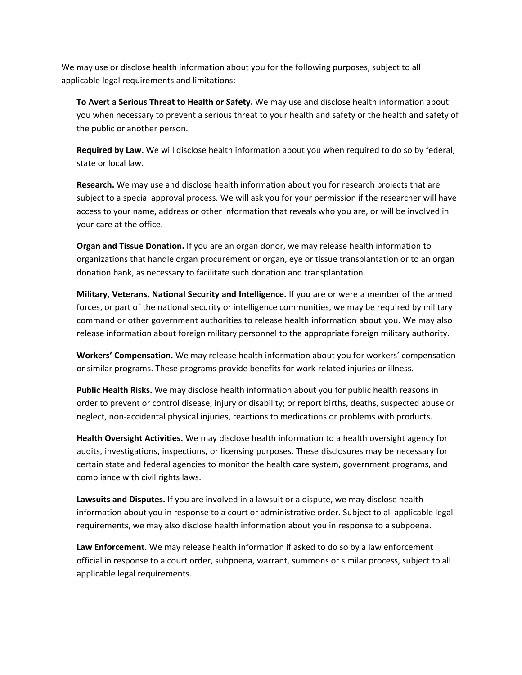We may use or disclose health information about you for the following purposes, subject to all applicable legal requirements and limitations:

**To Avert a Serious Threat to Health or Safety.** We may use and disclose health information about you when necessary to prevent a serious threat to your health and safety or the health and safety of the public or another person.

**Required by Law.** We will disclose health information about you when required to do so by federal, state or local law.

**Research.** We may use and disclose health information about you for research projects that are subject to a special approval process. We will ask you for your permission if the researcher will have access to your name, address or other information that reveals who you are, or will be involved in your care at the office.

**Organ and Tissue Donation.** If you are an organ donor, we may release health information to organizations that handle organ procurement or organ, eye or tissue transplantation or to an organ donation bank, as necessary to facilitate such donation and transplantation.

**Military, Veterans, National Security and Intelligence.** If you are or were a member of the armed forces, or part of the national security or intelligence communities, we may be required by military command or other government authorities to release health information about you. We may also release information about foreign military personnel to the appropriate foreign military authority.

**Workers' Compensation.** We may release health information about you for workers' compensation or similar programs. These programs provide benefits for work‐related injuries or illness.

**Public Health Risks.** We may disclose health information about you for public health reasons in order to prevent or control disease, injury or disability; or report births, deaths, suspected abuse or neglect, non‐accidental physical injuries, reactions to medications or problems with products.

**Health Oversight Activities.** We may disclose health information to a health oversight agency for audits, investigations, inspections, or licensing purposes. These disclosures may be necessary for certain state and federal agencies to monitor the health care system, government programs, and compliance with civil rights laws.

**Lawsuits and Disputes.** If you are involved in a lawsuit or a dispute, we may disclose health information about you in response to a court or administrative order. Subject to all applicable legal requirements, we may also disclose health information about you in response to a subpoena.

**Law Enforcement.** We may release health information if asked to do so by a law enforcement official in response to a court order, subpoena, warrant, summons or similar process, subject to all applicable legal requirements.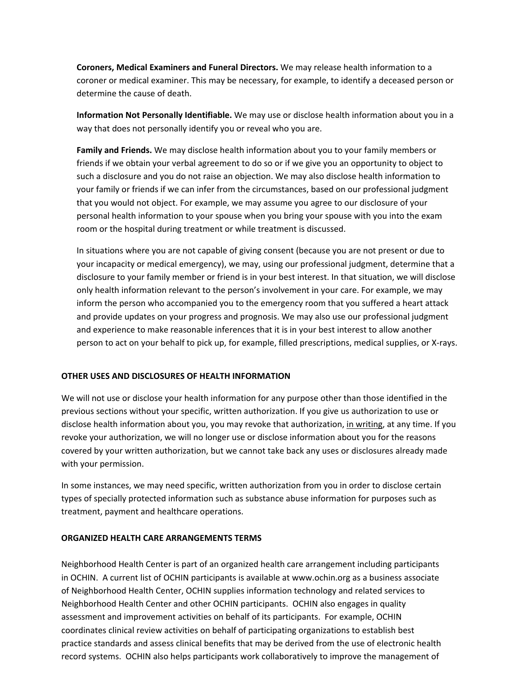**Coroners, Medical Examiners and Funeral Directors.** We may release health information to a coroner or medical examiner. This may be necessary, for example, to identify a deceased person or determine the cause of death.

**Information Not Personally Identifiable.** We may use or disclose health information about you in a way that does not personally identify you or reveal who you are.

**Family and Friends.** We may disclose health information about you to your family members or friends if we obtain your verbal agreement to do so or if we give you an opportunity to object to such a disclosure and you do not raise an objection. We may also disclose health information to your family or friends if we can infer from the circumstances, based on our professional judgment that you would not object. For example, we may assume you agree to our disclosure of your personal health information to your spouse when you bring your spouse with you into the exam room or the hospital during treatment or while treatment is discussed.

In situations where you are not capable of giving consent (because you are not present or due to your incapacity or medical emergency), we may, using our professional judgment, determine that a disclosure to your family member or friend is in your best interest. In that situation, we will disclose only health information relevant to the person's involvement in your care. For example, we may inform the person who accompanied you to the emergency room that you suffered a heart attack and provide updates on your progress and prognosis. We may also use our professional judgment and experience to make reasonable inferences that it is in your best interest to allow another person to act on your behalf to pick up, for example, filled prescriptions, medical supplies, or X‐rays.

#### **OTHER USES AND DISCLOSURES OF HEALTH INFORMATION**

We will not use or disclose your health information for any purpose other than those identified in the previous sections without your specific, written authorization. If you give us authorization to use or disclose health information about you, you may revoke that authorization, in writing, at any time. If you revoke your authorization, we will no longer use or disclose information about you for the reasons covered by your written authorization, but we cannot take back any uses or disclosures already made with your permission.

In some instances, we may need specific, written authorization from you in order to disclose certain types of specially protected information such as substance abuse information for purposes such as treatment, payment and healthcare operations.

#### **ORGANIZED HEALTH CARE ARRANGEMENTS TERMS**

Neighborhood Health Center is part of an organized health care arrangement including participants in OCHIN. A current list of OCHIN participants is available at www.ochin.org as a business associate of Neighborhood Health Center, OCHIN supplies information technology and related services to Neighborhood Health Center and other OCHIN participants. OCHIN also engages in quality assessment and improvement activities on behalf of its participants. For example, OCHIN coordinates clinical review activities on behalf of participating organizations to establish best practice standards and assess clinical benefits that may be derived from the use of electronic health record systems. OCHIN also helps participants work collaboratively to improve the management of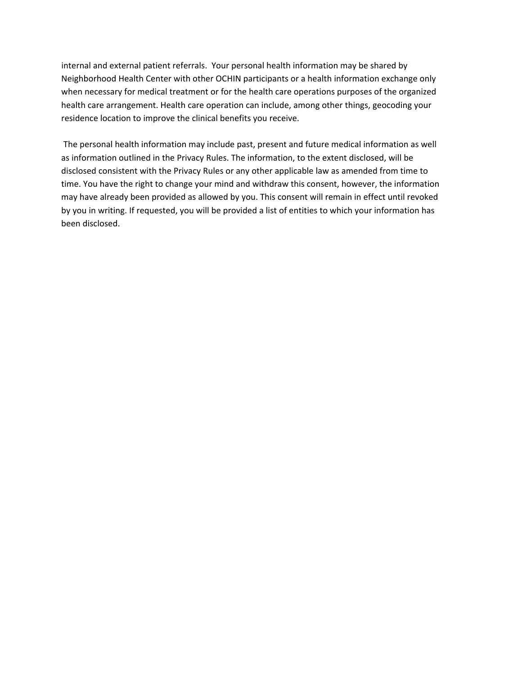internal and external patient referrals. Your personal health information may be shared by Neighborhood Health Center with other OCHIN participants or a health information exchange only when necessary for medical treatment or for the health care operations purposes of the organized health care arrangement. Health care operation can include, among other things, geocoding your residence location to improve the clinical benefits you receive.

 The personal health information may include past, present and future medical information as well as information outlined in the Privacy Rules. The information, to the extent disclosed, will be disclosed consistent with the Privacy Rules or any other applicable law as amended from time to time. You have the right to change your mind and withdraw this consent, however, the information may have already been provided as allowed by you. This consent will remain in effect until revoked by you in writing. If requested, you will be provided a list of entities to which your information has been disclosed.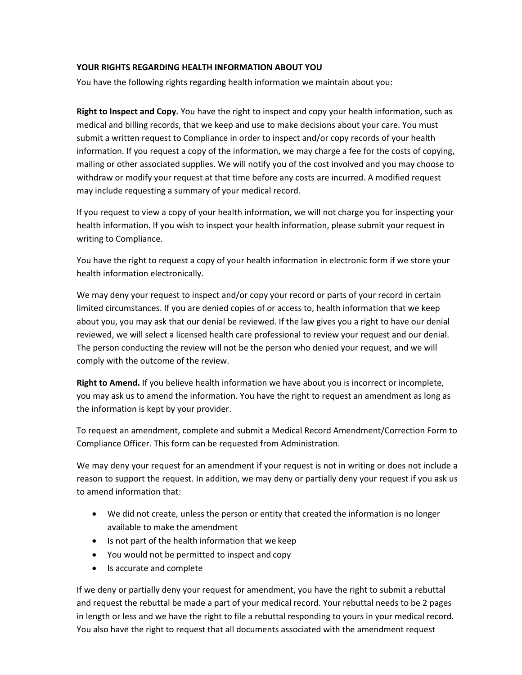#### **YOUR RIGHTS REGARDING HEALTH INFORMATION ABOUT YOU**

You have the following rights regarding health information we maintain about you:

**Right to Inspect and Copy.** You have the right to inspect and copy your health information, such as medical and billing records, that we keep and use to make decisions about your care. You must submit a written request to Compliance in order to inspect and/or copy records of your health information. If you request a copy of the information, we may charge a fee for the costs of copying, mailing or other associated supplies. We will notify you of the cost involved and you may choose to withdraw or modify your request at that time before any costs are incurred. A modified request may include requesting a summary of your medical record.

If you request to view a copy of your health information, we will not charge you for inspecting your health information. If you wish to inspect your health information, please submit your request in writing to Compliance.

You have the right to request a copy of your health information in electronic form if we store your health information electronically.

We may deny your request to inspect and/or copy your record or parts of your record in certain limited circumstances. If you are denied copies of or access to, health information that we keep about you, you may ask that our denial be reviewed. If the law gives you a right to have our denial reviewed, we will select a licensed health care professional to review your request and our denial. The person conducting the review will not be the person who denied your request, and we will comply with the outcome of the review.

**Right to Amend.** If you believe health information we have about you is incorrect or incomplete, you may ask us to amend the information. You have the right to request an amendment as long as the information is kept by your provider.

To request an amendment, complete and submit a Medical Record Amendment/Correction Form to Compliance Officer. This form can be requested from Administration.

We may deny your request for an amendment if your request is not in writing or does not include a reason to support the request. In addition, we may deny or partially deny your request if you ask us to amend information that:

- We did not create, unless the person or entity that created the information is no longer available to make the amendment
- Is not part of the health information that we keep
- You would not be permitted to inspect and copy
- Is accurate and complete

If we deny or partially deny your request for amendment, you have the right to submit a rebuttal and request the rebuttal be made a part of your medical record. Your rebuttal needs to be 2 pages in length or less and we have the right to file a rebuttal responding to yours in your medical record. You also have the right to request that all documents associated with the amendment request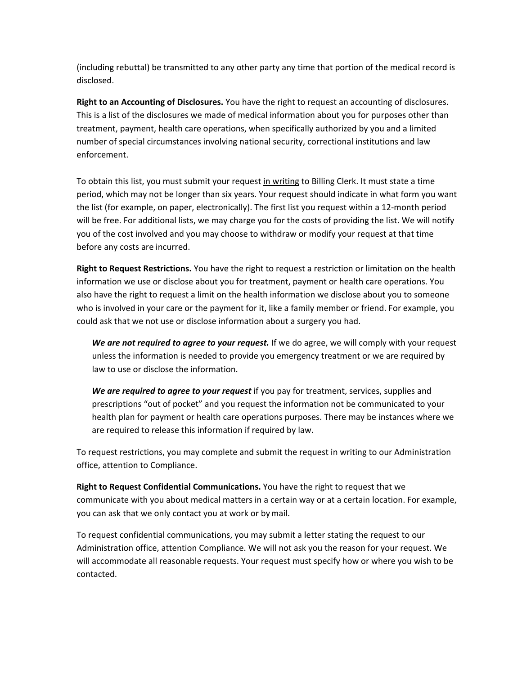(including rebuttal) be transmitted to any other party any time that portion of the medical record is disclosed.

**Right to an Accounting of Disclosures.** You have the right to request an accounting of disclosures. This is a list of the disclosures we made of medical information about you for purposes other than treatment, payment, health care operations, when specifically authorized by you and a limited number of special circumstances involving national security, correctional institutions and law enforcement.

To obtain this list, you must submit your request in writing to Billing Clerk. It must state a time period, which may not be longer than six years. Your request should indicate in what form you want the list (for example, on paper, electronically). The first list you request within a 12‐month period will be free. For additional lists, we may charge you for the costs of providing the list. We will notify you of the cost involved and you may choose to withdraw or modify your request at that time before any costs are incurred.

**Right to Request Restrictions.** You have the right to request a restriction or limitation on the health information we use or disclose about you for treatment, payment or health care operations. You also have the right to request a limit on the health information we disclose about you to someone who is involved in your care or the payment for it, like a family member or friend. For example, you could ask that we not use or disclose information about a surgery you had.

We are not required to agree to your request. If we do agree, we will comply with your request unless the information is needed to provide you emergency treatment or we are required by law to use or disclose the information.

We are required to agree to your request if you pay for treatment, services, supplies and prescriptions "out of pocket" and you request the information not be communicated to your health plan for payment or health care operations purposes. There may be instances where we are required to release this information if required by law.

To request restrictions, you may complete and submit the request in writing to our Administration office, attention to Compliance.

**Right to Request Confidential Communications.** You have the right to request that we communicate with you about medical matters in a certain way or at a certain location. For example, you can ask that we only contact you at work or by mail.

To request confidential communications, you may submit a letter stating the request to our Administration office, attention Compliance. We will not ask you the reason for your request. We will accommodate all reasonable requests. Your request must specify how or where you wish to be contacted.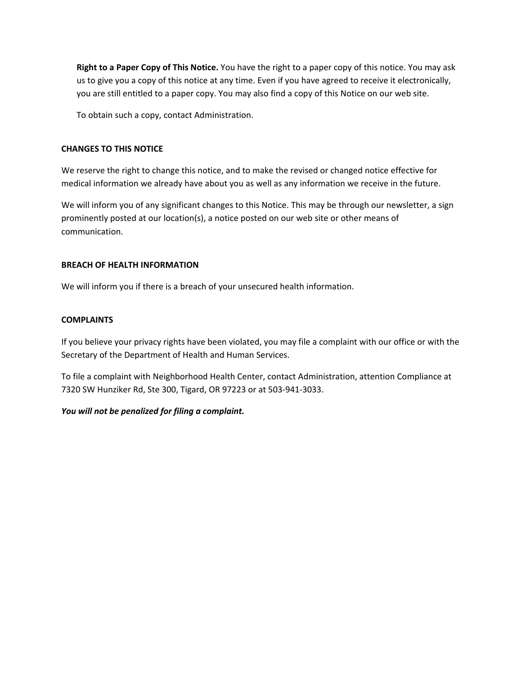**Right to a Paper Copy of This Notice.** You have the right to a paper copy of this notice. You may ask us to give you a copy of this notice at any time. Even if you have agreed to receive it electronically, you are still entitled to a paper copy. You may also find a copy of this Notice on our web site.

To obtain such a copy, contact Administration.

#### **CHANGES TO THIS NOTICE**

We reserve the right to change this notice, and to make the revised or changed notice effective for medical information we already have about you as well as any information we receive in the future.

We will inform you of any significant changes to this Notice. This may be through our newsletter, a sign prominently posted at our location(s), a notice posted on our web site or other means of communication.

#### **BREACH OF HEALTH INFORMATION**

We will inform you if there is a breach of your unsecured health information.

#### **COMPLAINTS**

If you believe your privacy rights have been violated, you may file a complaint with our office or with the Secretary of the Department of Health and Human Services.

To file a complaint with Neighborhood Health Center, contact Administration, attention Compliance at 7320 SW Hunziker Rd, Ste 300, Tigard, OR 97223 or at 503‐941‐3033.

#### *You will not be penalized for filing a complaint.*